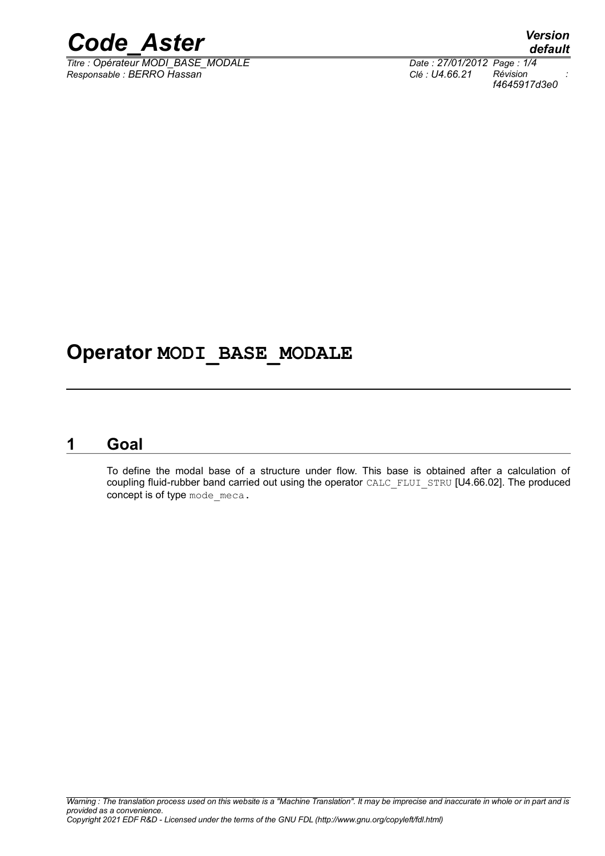

*Titre : Opérateur MODI\_BASE\_MODALE Date : 27/01/2012 Page : 1/4 Responsable : BERRO Hassan Clé : U4.66.21 Révision :*

### **Operator MODI\_BASE\_MODALE**

#### **1 Goal**

<span id="page-0-0"></span>To define the modal base of a structure under flow. This base is obtained after a calculation of coupling fluid-rubber band carried out using the operator CALC\_FLUI\_STRU [U4.66.02]. The produced concept is of type mode meca.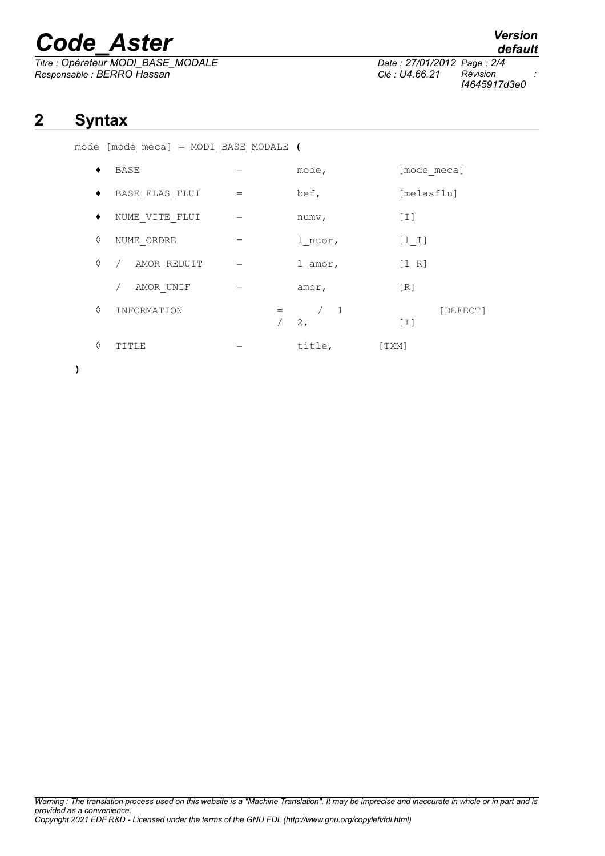# *Code\_Aster Version*

*Titre : Opérateur MODI\_BASE\_MODALE Date : 27/01/2012 Page : 2/4 Responsable : BERRO Hassan Clé : U4.66.21 Révision :*

*f4645917d3e0*

### **2 Syntax**

|  |  |  | mode [mode meca] = MODI BASE MODALE ( |  |
|--|--|--|---------------------------------------|--|
|  |  |  |                                       |  |

|   | BASE           | $=$ | mode,                | [mode meca]     |
|---|----------------|-----|----------------------|-----------------|
|   | BASE ELAS FLUI | $=$ | bef,                 | [melasflu]      |
|   | NUME VITE FLUI | $=$ | numv,                | $[1]$           |
| ♦ | NUME ORDRE     | $=$ | 1 nuor,              | $[1 1]$         |
| ♦ | AMOR REDUIT    | $=$ | l amor,              | [1 R]           |
|   | AMOR UNIF      | $=$ | amor,                | [R]             |
| ♦ | INFORMATION    |     | $\overline{1}$<br>2, | [DEFECT]<br>[I] |
| ♦ | TITLE          | $=$ | title,               | [TXM]           |

**)**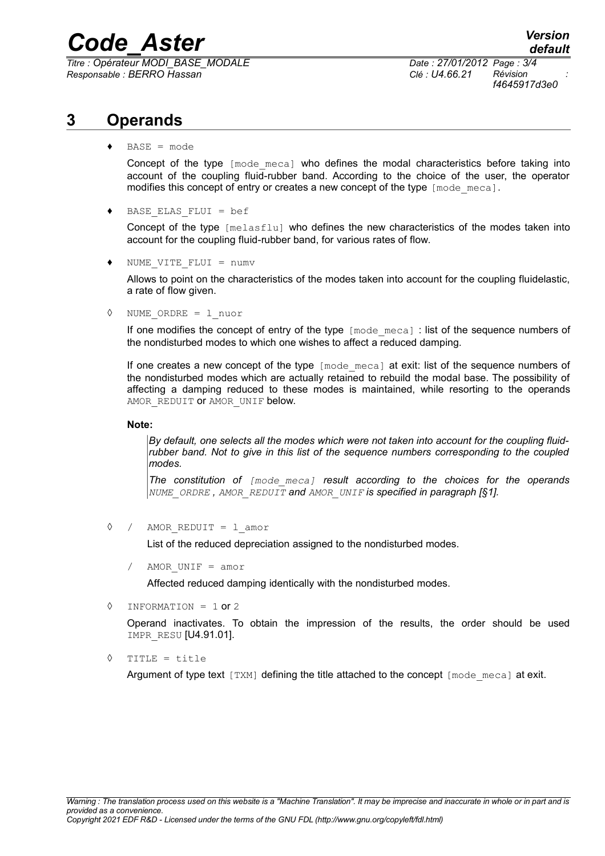# *Code\_Aster Version*

*Titre : Opérateur MODI\_BASE\_MODALE Date : 27/01/2012 Page : 3/4 Responsable : BERRO Hassan Clé : U4.66.21 Révision :*

*f4645917d3e0*

### **3 Operands**

♦ BASE = mode

Concept of the type [mode meca] who defines the modal characteristics before taking into account of the coupling fluid-rubber band. According to the choice of the user, the operator modifies this concept of entry or creates a new concept of the type  $\lceil \text{mode\_meca} \rceil$ .

♦ BASE\_ELAS\_FLUI = bef

Concept of the type [melasflu] who defines the new characteristics of the modes taken into account for the coupling fluid-rubber band, for various rates of flow.

♦ NUME\_VITE\_FLUI = numv

Allows to point on the characteristics of the modes taken into account for the coupling fluidelastic, a rate of flow given.

◊ NUME\_ORDRE = l\_nuor

If one modifies the concept of entry of the type  $\lceil \text{mode}| \text{ meca} \rceil$  : list of the sequence numbers of the nondisturbed modes to which one wishes to affect a reduced damping.

If one creates a new concept of the type [mode meca] at exit: list of the sequence numbers of the nondisturbed modes which are actually retained to rebuild the modal base. The possibility of affecting a damping reduced to these modes is maintained, while resorting to the operands AMOR REDUIT OT AMOR UNIF below.

#### **Note:**

*By default, one selects all the modes which were not taken into account for the coupling fluidrubber band. Not to give in this list of the sequence numbers corresponding to the coupled modes.*

*The constitution of [mode\_meca] result according to the choices for the operands NUME\_ORDRE , AMOR\_REDUIT and AMOR\_UNIF is specified in paragraph [[§1\]](#page-0-0).*

◊ / AMOR\_REDUIT = l\_amor

List of the reduced depreciation assigned to the nondisturbed modes.

AMOR UNIF  $=$  amor

Affected reduced damping identically with the nondisturbed modes.

 $\Diamond$  INFORMATION = 1 or 2

Operand inactivates. To obtain the impression of the results, the order should be used IMPR\_RESU [U4.91.01].

◊ TITLE = title

Argument of type text  $[TXM]$  defining the title attached to the concept  $[mode \text{ meca}]$  at exit.